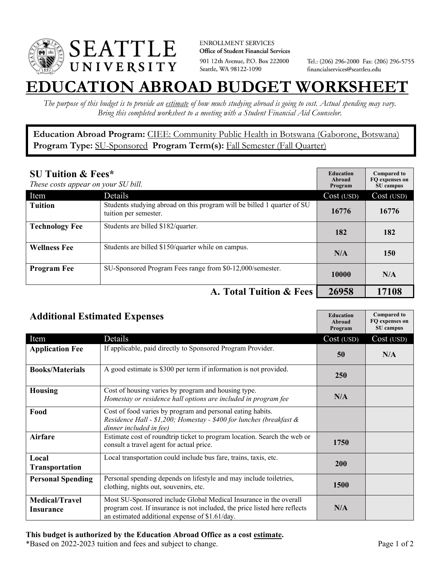

**ENROLLMENT SERVICES** Office of Student Financial Services 901 12th Avenue, P.O. Box 222000 Seattle, WA 98122-1090

Tel.: (206) 296-2000 Fax: (206) 296-5755 financialservices@seattleu.edu

## **EATION ABROAD BUDGET WORKSHEE**

*The purpose of this budget is to provide an estimate of how much studying abroad is going to cost. Actual spending may vary. Bring this completed worksheet to a meeting with a Student Financial Aid Counselor.* 

**Education Abroad Program:** CIEE: Community Public Health in Botswana (Gaborone, Botswana) Program Type: **SU-Sponsored** Program Term(s): **Fall Semester (Fall Quarter)** 

| <b>SU Tuition &amp; Fees*</b><br>These costs appear on your SU bill. |                                                                                                  | <b>Education</b><br>Abroad<br>Program | <b>Compared to</b><br>FO expenses on<br>SU campus |
|----------------------------------------------------------------------|--------------------------------------------------------------------------------------------------|---------------------------------------|---------------------------------------------------|
| Item                                                                 | Details                                                                                          | Cost (USD)                            | Cost (USD)                                        |
| <b>Tuition</b>                                                       | Students studying abroad on this program will be billed 1 quarter of SU<br>tuition per semester. | 16776                                 | 16776                                             |
| <b>Technology Fee</b>                                                | Students are billed \$182/quarter.                                                               | 182                                   | 182                                               |
| <b>Wellness Fee</b>                                                  | Students are billed \$150/quarter while on campus.                                               | N/A                                   | 150                                               |
| <b>Program Fee</b>                                                   | SU-Sponsored Program Fees range from \$0-12,000/semester.                                        | 10000                                 | N/A                                               |
| A. Total Tuition & Fees                                              |                                                                                                  | 26958                                 | 17108                                             |

| <b>Additional Estimated Expenses</b> |                                                                                                                                                                                                   | <b>Education</b><br>Abroad<br>Program | <b>Compared to</b><br>FQ expenses on<br>SU campus |
|--------------------------------------|---------------------------------------------------------------------------------------------------------------------------------------------------------------------------------------------------|---------------------------------------|---------------------------------------------------|
| Item                                 | Details                                                                                                                                                                                           | Cost (USD)                            | Cost (USD)                                        |
| <b>Application Fee</b>               | If applicable, paid directly to Sponsored Program Provider.                                                                                                                                       | 50                                    | N/A                                               |
| <b>Books/Materials</b>               | A good estimate is \$300 per term if information is not provided.                                                                                                                                 | 250                                   |                                                   |
| <b>Housing</b>                       | Cost of housing varies by program and housing type.<br>Homestay or residence hall options are included in program fee                                                                             | N/A                                   |                                                   |
| Food                                 | Cost of food varies by program and personal eating habits.<br>Residence Hall - \$1,200; Homestay - \$400 for lunches (breakfast &<br>dinner included in fee)                                      |                                       |                                                   |
| <b>Airfare</b>                       | Estimate cost of roundtrip ticket to program location. Search the web or<br>consult a travel agent for actual price.                                                                              | 1750                                  |                                                   |
| Local<br><b>Transportation</b>       | Local transportation could include bus fare, trains, taxis, etc.                                                                                                                                  | <b>200</b>                            |                                                   |
| <b>Personal Spending</b>             | Personal spending depends on lifestyle and may include toiletries,<br>clothing, nights out, souvenirs, etc.                                                                                       | <b>1500</b>                           |                                                   |
| <b>Medical/Travel</b><br>Insurance   | Most SU-Sponsored include Global Medical Insurance in the overall<br>program cost. If insurance is not included, the price listed here reflects<br>an estimated additional expense of \$1.61/day. | N/A                                   |                                                   |

## **This budget is authorized by the Education Abroad Office as a cost estimate.**

\*Based on 2022-2023 tuition and fees and subject to change. Page 1 of 2